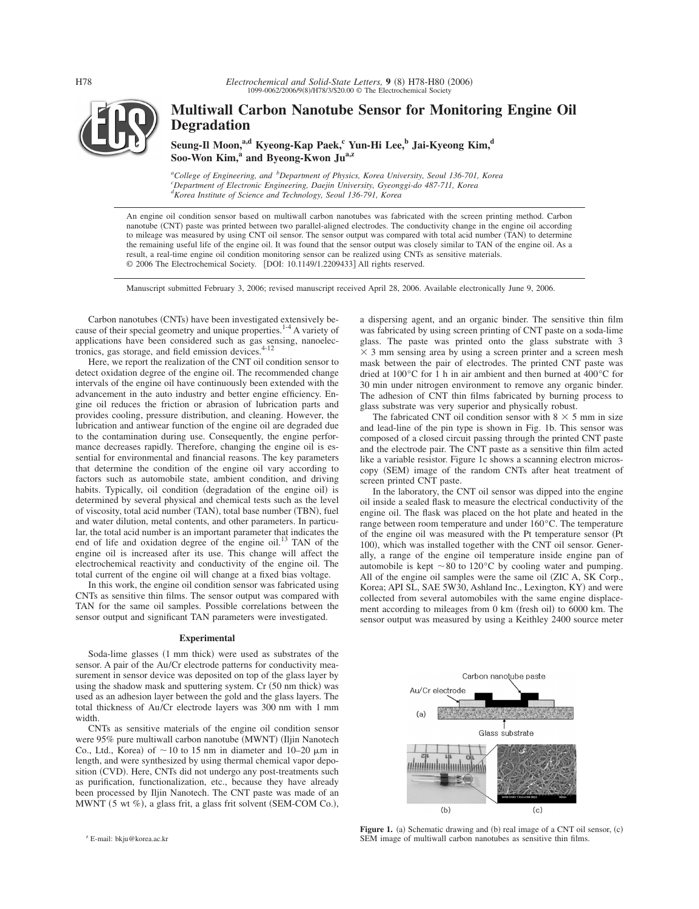

# **Multiwall Carbon Nanotube Sensor for Monitoring Engine Oil Degradation**

Seung-Il Moon,<sup>a,d</sup> Kyeong-Kap Paek,<sup>c</sup> Yun-Hi Lee,<sup>b</sup> Jai-Kyeong Kim,<sup>d</sup> Soo-Won Kim,<sup>a</sup> and Byeong-Kwon Ju<sup>a,z</sup>

*a College of Engineering, and <sup>b</sup> Department of Physics, Korea University, Seoul 136-701, Korea <sup>c</sup> Department of Electronic Engineering, Daejin University, Gyeonggi-do 487-711, Korea d Korea Institute of Science and Technology, Seoul 136-791, Korea*

An engine oil condition sensor based on multiwall carbon nanotubes was fabricated with the screen printing method. Carbon nanotube (CNT) paste was printed between two parallel-aligned electrodes. The conductivity change in the engine oil according to mileage was measured by using CNT oil sensor. The sensor output was compared with total acid number (TAN) to determine the remaining useful life of the engine oil. It was found that the sensor output was closely similar to TAN of the engine oil. As a result, a real-time engine oil condition monitoring sensor can be realized using CNTs as sensitive materials. © 2006 The Electrochemical Society. [DOI: 10.1149/1.2209433] All rights reserved.

Manuscript submitted February 3, 2006; revised manuscript received April 28, 2006. Available electronically June 9, 2006.

Carbon nanotubes (CNTs) have been investigated extensively because of their special geometry and unique properties.<sup>1-4</sup> A variety of applications have been considered such as gas sensing, nanoelectronics, gas storage, and field emission devices.

Here, we report the realization of the CNT oil condition sensor to detect oxidation degree of the engine oil. The recommended change intervals of the engine oil have continuously been extended with the advancement in the auto industry and better engine efficiency. Engine oil reduces the friction or abrasion of lubrication parts and provides cooling, pressure distribution, and cleaning. However, the lubrication and antiwear function of the engine oil are degraded due to the contamination during use. Consequently, the engine performance decreases rapidly. Therefore, changing the engine oil is essential for environmental and financial reasons. The key parameters that determine the condition of the engine oil vary according to factors such as automobile state, ambient condition, and driving habits. Typically, oil condition (degradation of the engine oil) is determined by several physical and chemical tests such as the level of viscosity, total acid number (TAN), total base number (TBN), fuel and water dilution, metal contents, and other parameters. In particular, the total acid number is an important parameter that indicates the end of life and oxidation degree of the engine oil.<sup>13</sup> TAN of the engine oil is increased after its use. This change will affect the electrochemical reactivity and conductivity of the engine oil. The total current of the engine oil will change at a fixed bias voltage.

In this work, the engine oil condition sensor was fabricated using CNTs as sensitive thin films. The sensor output was compared with TAN for the same oil samples. Possible correlations between the sensor output and significant TAN parameters were investigated.

# **Experimental**

Soda-lime glasses (1 mm thick) were used as substrates of the sensor. A pair of the Au/Cr electrode patterns for conductivity measurement in sensor device was deposited on top of the glass layer by using the shadow mask and sputtering system. Cr (50 nm thick) was used as an adhesion layer between the gold and the glass layers. The total thickness of Au/Cr electrode layers was 300 nm with 1 mm width.

CNTs as sensitive materials of the engine oil condition sensor were 95% pure multiwall carbon nanotube (MWNT) (Iljin Nanotech Co., Ltd., Korea) of  $\sim$  10 to 15 nm in diameter and 10–20  $\mu$ m in length, and were synthesized by using thermal chemical vapor deposition (CVD). Here, CNTs did not undergo any post-treatments such as purification, functionalization, etc., because they have already been processed by Iljin Nanotech. The CNT paste was made of an MWNT (5 wt %), a glass frit, a glass frit solvent (SEM-COM Co.),

a dispersing agent, and an organic binder. The sensitive thin film was fabricated by using screen printing of CNT paste on a soda-lime glass. The paste was printed onto the glass substrate with 3  $\times$  3 mm sensing area by using a screen printer and a screen mesh mask between the pair of electrodes. The printed CNT paste was dried at 100°C for 1 h in air ambient and then burned at 400°C for 30 min under nitrogen environment to remove any organic binder. The adhesion of CNT thin films fabricated by burning process to glass substrate was very superior and physically robust.

The fabricated CNT oil condition sensor with  $8 \times 5$  mm in size and lead-line of the pin type is shown in Fig. 1b. This sensor was composed of a closed circuit passing through the printed CNT paste and the electrode pair. The CNT paste as a sensitive thin film acted like a variable resistor. Figure 1c shows a scanning electron microscopy (SEM) image of the random CNTs after heat treatment of screen printed CNT paste.

In the laboratory, the CNT oil sensor was dipped into the engine oil inside a sealed flask to measure the electrical conductivity of the engine oil. The flask was placed on the hot plate and heated in the range between room temperature and under 160°C. The temperature of the engine oil was measured with the Pt temperature sensor (Pt 100), which was installed together with the CNT oil sensor. Generally, a range of the engine oil temperature inside engine pan of automobile is kept  $\sim 80$  to 120°C by cooling water and pumping. All of the engine oil samples were the same oil (ZIC A, SK Corp., Korea; API SL, SAE 5W30, Ashland Inc., Lexington, KY) and were collected from several automobiles with the same engine displacement according to mileages from 0 km (fresh oil) to 6000 km. The sensor output was measured by using a Keithley 2400 source meter



Figure 1. (a) Schematic drawing and (b) real image of a CNT oil sensor, (c) SEM image of multiwall carbon nanotubes as sensitive thin films.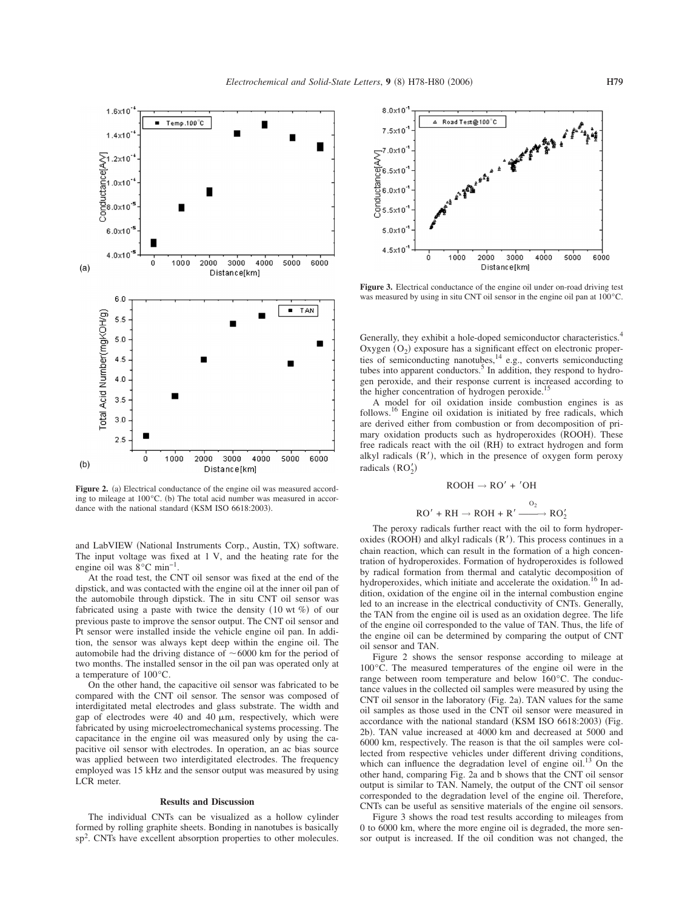

Figure 2. (a) Electrical conductance of the engine oil was measured according to mileage at  $100^{\circ}$ C. (b) The total acid number was measured in accordance with the national standard (KSM ISO 6618:2003).

and LabVIEW (National Instruments Corp., Austin, TX) software. The input voltage was fixed at 1 V, and the heating rate for the engine oil was 8°C min−1.

At the road test, the CNT oil sensor was fixed at the end of the dipstick, and was contacted with the engine oil at the inner oil pan of the automobile through dipstick. The in situ CNT oil sensor was fabricated using a paste with twice the density  $(10 \text{ wt } \%)$  of our previous paste to improve the sensor output. The CNT oil sensor and Pt sensor were installed inside the vehicle engine oil pan. In addition, the sensor was always kept deep within the engine oil. The automobile had the driving distance of  $\sim 6000$  km for the period of two months. The installed sensor in the oil pan was operated only at a temperature of 100°C.

On the other hand, the capacitive oil sensor was fabricated to be compared with the CNT oil sensor. The sensor was composed of interdigitated metal electrodes and glass substrate. The width and gap of electrodes were 40 and 40  $\mu$ m, respectively, which were fabricated by using microelectromechanical systems processing. The capacitance in the engine oil was measured only by using the capacitive oil sensor with electrodes. In operation, an ac bias source was applied between two interdigitated electrodes. The frequency employed was 15 kHz and the sensor output was measured by using LCR meter.

## **Results and Discussion**

The individual CNTs can be visualized as a hollow cylinder formed by rolling graphite sheets. Bonding in nanotubes is basically sp<sup>2</sup>. CNTs have excellent absorption properties to other molecules.

![](_page_1_Figure_8.jpeg)

Figure 3. Electrical conductance of the engine oil under on-road driving test was measured by using in situ CNT oil sensor in the engine oil pan at 100°C.

Generally, they exhibit a hole-doped semiconductor characteristics.<sup>4</sup> Oxygen  $(O_2)$  exposure has a significant effect on electronic properties of semiconducting nanotubes,  $14$  e.g., converts semiconducting tubes into apparent conductors.<sup>5</sup> In addition, they respond to hydrogen peroxide, and their response current is increased according to the higher concentration of hydrogen peroxide.<sup>15</sup>

A model for oil oxidation inside combustion engines is as follows.16 Engine oil oxidation is initiated by free radicals, which are derived either from combustion or from decomposition of primary oxidation products such as hydroperoxides (ROOH). These free radicals react with the oil (RH) to extract hydrogen and form alkyl radicals  $(R')$ , which in the presence of oxygen form peroxy radicals  $(RO'_2)$ 

$$
ROOH \rightarrow RO' + 'OH
$$

$$
RO' + RH \rightarrow ROH + R' \xrightarrow{O_2} RO_2'
$$

The peroxy radicals further react with the oil to form hydroperoxides (ROOH) and alkyl radicals  $(R')$ . This process continues in a chain reaction, which can result in the formation of a high concentration of hydroperoxides. Formation of hydroperoxides is followed by radical formation from thermal and catalytic decomposition of hydroperoxides, which initiate and accelerate the oxidation.<sup>16</sup> In addition, oxidation of the engine oil in the internal combustion engine led to an increase in the electrical conductivity of CNTs. Generally, the TAN from the engine oil is used as an oxidation degree. The life of the engine oil corresponded to the value of TAN. Thus, the life of the engine oil can be determined by comparing the output of CNT oil sensor and TAN.

Figure 2 shows the sensor response according to mileage at 100°C. The measured temperatures of the engine oil were in the range between room temperature and below 160°C. The conductance values in the collected oil samples were measured by using the CNT oil sensor in the laboratory (Fig. 2a). TAN values for the same oil samples as those used in the CNT oil sensor were measured in accordance with the national standard (KSM ISO 6618:2003) (Fig. 2b). TAN value increased at 4000 km and decreased at 5000 and 6000 km, respectively. The reason is that the oil samples were collected from respective vehicles under different driving conditions, which can influence the degradation level of engine  $\delta$ il.<sup>13</sup> On the other hand, comparing Fig. 2a and b shows that the CNT oil sensor output is similar to TAN. Namely, the output of the CNT oil sensor corresponded to the degradation level of the engine oil. Therefore, CNTs can be useful as sensitive materials of the engine oil sensors.

Figure 3 shows the road test results according to mileages from 0 to 6000 km, where the more engine oil is degraded, the more sensor output is increased. If the oil condition was not changed, the